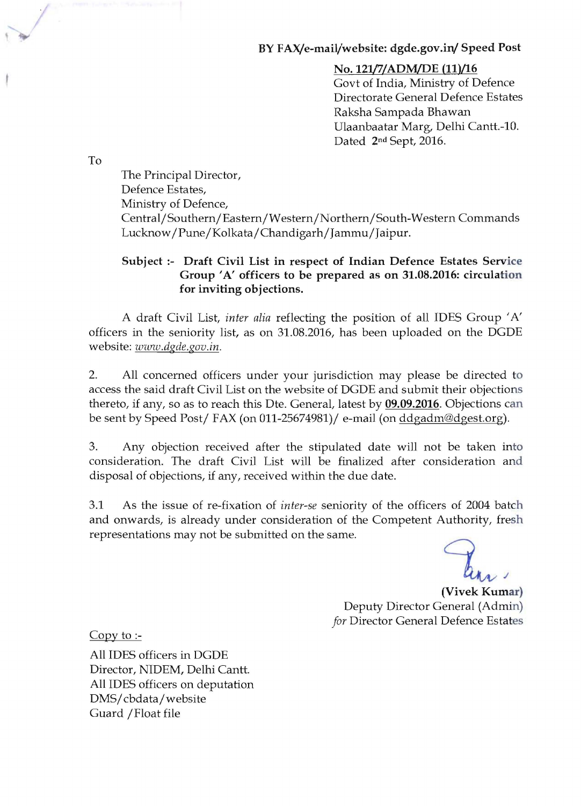#### BY FAX/e-mail/website: dgde.gov.in/ Speed Post

#### No. 121/7/ADM/DE (11)/16

Govt of India, Ministry of Defence Directorate General Defence Estates Raksha Sampada Bhawan Ulaanbaatar Marg, Delhi Cantt.-10. Dated 2nd Sept, 2016.

To

/

The Principal Director, Defence Estates, Ministry of Defence, Central/Southern/Eastern/Western/Northern/South-Western Commands Lucknow/Pune/Kolkata/Chandigarh/Jammu/Jaipur.

#### Subject:- Draft Civil List in respect of Indian Defence Estates Service Group 'A' officers to be prepared as on 31.08.2016: circulation for inviting objections.

A draft Civil List, *inter alia* reflecting the position of all IDES Group 'A' officers in the seniority list, as on 31.08.2016, has been uploaded on the DGDE website: *www.dgde.gov.in.* 

2. All concerned officers under your jurisdiction may please be directed to access the said draft Civil List on the website of DGDE and submit their objections thereto, if any, so as to reach this Dte. General, latest by 09.09.2016. Objections can be sent by Speed Post/ FAX (on 011-25674981)/ e-mail (on ddgadm@dgest.org).

3. Any objection received after the stipulated date will not be taken into consideration. The draft Civil List will be finalized after consideration and disposal of objections, if any, received within the due date.

3.1 As the issue of re-fixation of *inter-se* seniority of the officers of 2004 batch and onwards, is already under consideration of the Competent Authority, fresh representations may not be submitted on the same.

(Vivek Kumar) Deputy Director General (Admin) *for* Director General Defence Estates

Copy to  $\equiv$ 

All IDES officers in DGDE Director, NIDEM, Delhi Cantt. All IDES officers on deputation DMS/cbdata/website Guard /Float file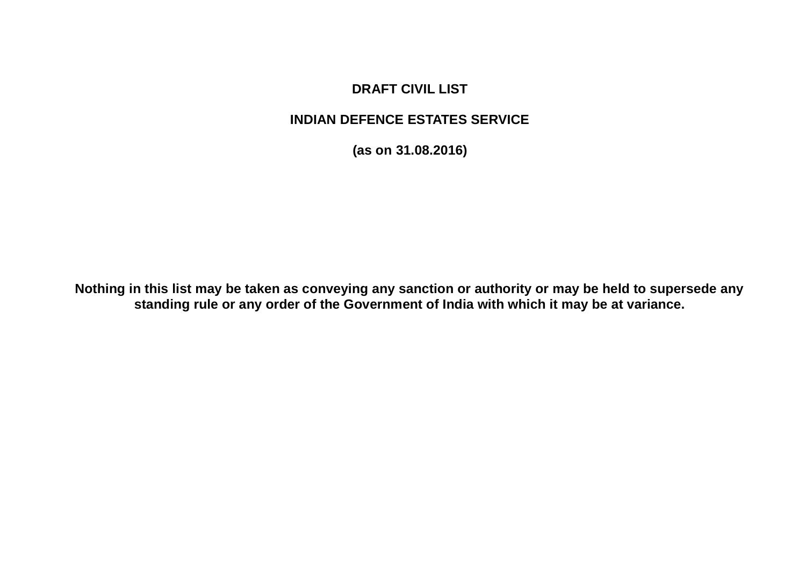## **DRAFT CIVIL LIST**

### **INDIAN DEFENCE ESTATES SERVICE**

**(as on 31.08.2016)**

**Nothing in this list may be taken as conveying any sanction or authority or may be held to supersede any standing rule or any order of the Government of India with which it may be at variance.**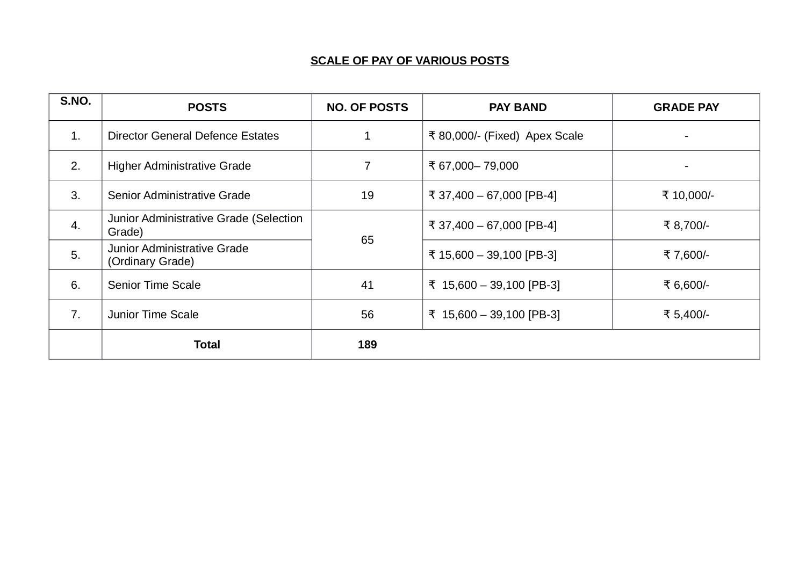#### **SCALE OF PAY OF VARIOUS POSTS**

| S.NO.          | <b>POSTS</b>                                           | <b>NO. OF POSTS</b> | <b>PAY BAND</b>               | <b>GRADE PAY</b> |
|----------------|--------------------------------------------------------|---------------------|-------------------------------|------------------|
| $\mathbf{1}$ . | <b>Director General Defence Estates</b>                | $\mathbf{1}$        | ₹ 80,000/- (Fixed) Apex Scale |                  |
| 2.             | <b>Higher Administrative Grade</b>                     | 7                   | ₹ 67,000 - 79,000             | $\blacksquare$   |
| 3.             | Senior Administrative Grade                            | 19                  | ₹ 37,400 - 67,000 [PB-4]      | ₹ 10,000/-       |
| 4.             | Junior Administrative Grade (Selection<br>Grade)       |                     | ₹ 37,400 - 67,000 [PB-4]      | ₹ 8,700/-        |
| 5.             | <b>Junior Administrative Grade</b><br>(Ordinary Grade) | 65                  | ₹ 15,600 - 39,100 [PB-3]      | ₹7,600/-         |
| 6.             | Senior Time Scale                                      | 41                  | ₹ 15,600 - 39,100 [PB-3]      | ₹ 6,600/-        |
| 7.             | Junior Time Scale                                      | 56                  | ₹ 15,600 - 39,100 [PB-3]      | ₹ 5,400/-        |
|                | Total                                                  | 189                 |                               |                  |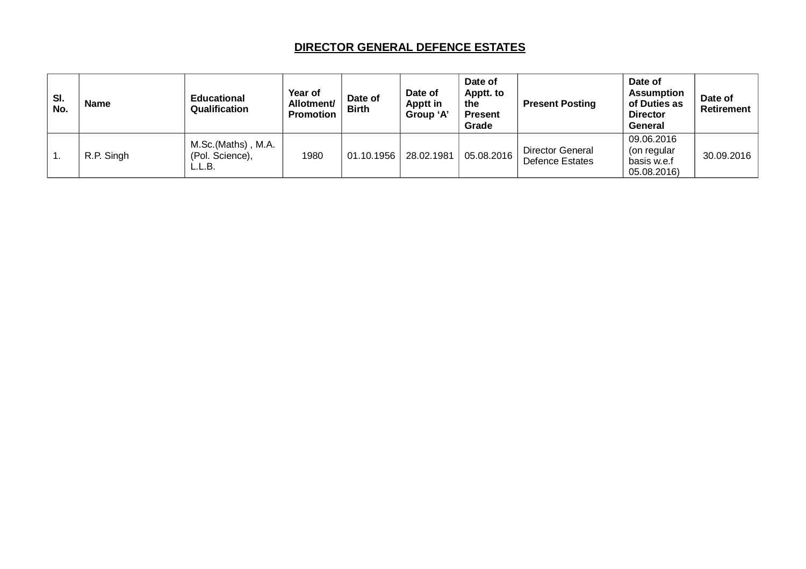#### **DIRECTOR GENERAL DEFENCE ESTATES**

| SI.<br>No. | <b>Name</b> | <b>Educational</b><br>Qualification             | <b>Year of</b><br>Allotment/<br><b>Promotion</b> | Date of<br><b>Birth</b> | Date of<br>Apptt in<br>Group 'A' | Date of<br>Apptt. to<br>the<br><b>Present</b><br>Grade | <b>Present Posting</b>                     | Date of<br><b>Assumption</b><br>of Duties as<br><b>Director</b><br><b>General</b> | Date of<br>Retirement |
|------------|-------------|-------------------------------------------------|--------------------------------------------------|-------------------------|----------------------------------|--------------------------------------------------------|--------------------------------------------|-----------------------------------------------------------------------------------|-----------------------|
|            | R.P. Singh  | M.Sc.(Maths), M.A.<br>(Pol. Science),<br>L.L.B. | 1980                                             | 01.10.1956              | 28.02.1981                       | 05.08.2016                                             | Director General<br><b>Defence Estates</b> | 09.06.2016<br>(on regular<br>basis w.e.f<br>05.08.2016)                           | 30.09.2016            |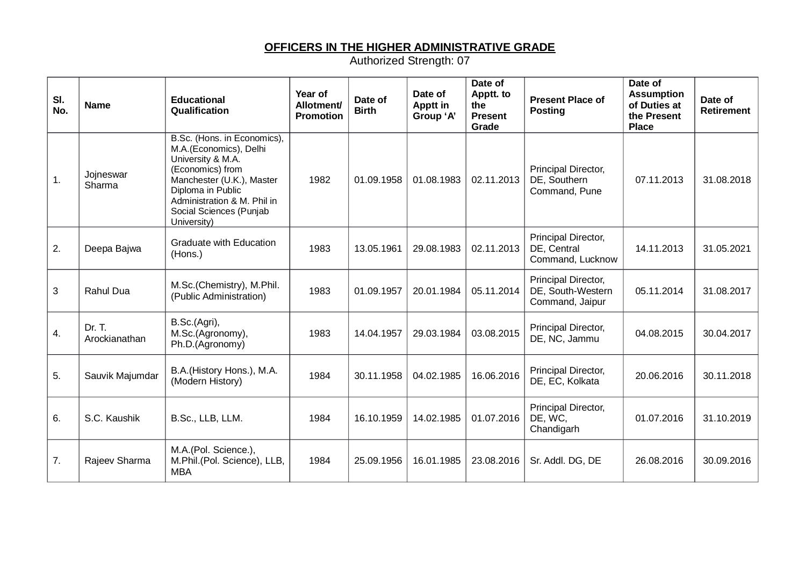#### **OFFICERS IN THE HIGHER ADMINISTRATIVE GRADE**

| SI.<br>No. | <b>Name</b>             | <b>Educational</b><br>Qualification                                                                                                                                                                                       | Year of<br><b>Allotment/</b><br><b>Promotion</b> | Date of<br><b>Birth</b> | Date of<br>Apptt in<br>Group 'A' | Date of<br>Apptt. to<br>the<br><b>Present</b><br>Grade | <b>Present Place of</b><br><b>Posting</b>                   | Date of<br><b>Assumption</b><br>of Duties at<br>the Present<br><b>Place</b> | Date of<br><b>Retirement</b> |
|------------|-------------------------|---------------------------------------------------------------------------------------------------------------------------------------------------------------------------------------------------------------------------|--------------------------------------------------|-------------------------|----------------------------------|--------------------------------------------------------|-------------------------------------------------------------|-----------------------------------------------------------------------------|------------------------------|
| 1.         | Jojneswar<br>Sharma     | B.Sc. (Hons. in Economics),<br>M.A.(Economics), Delhi<br>University & M.A.<br>(Economics) from<br>Manchester (U.K.), Master<br>Diploma in Public<br>Administration & M. Phil in<br>Social Sciences (Punjab<br>University) | 1982                                             | 01.09.1958              | 01.08.1983                       | 02.11.2013                                             | Principal Director,<br>DE, Southern<br>Command, Pune        | 07.11.2013                                                                  | 31.08.2018                   |
| 2.         | Deepa Bajwa             | <b>Graduate with Education</b><br>(Hons.)                                                                                                                                                                                 | 1983                                             | 13.05.1961              | 29.08.1983                       | 02.11.2013                                             | Principal Director,<br>DE, Central<br>Command, Lucknow      | 14.11.2013                                                                  | 31.05.2021                   |
| 3          | Rahul Dua               | M.Sc.(Chemistry), M.Phil.<br>(Public Administration)                                                                                                                                                                      | 1983                                             | 01.09.1957              | 20.01.1984                       | 05.11.2014                                             | Principal Director,<br>DE, South-Western<br>Command, Jaipur | 05.11.2014                                                                  | 31.08.2017                   |
| 4.         | Dr. T.<br>Arockianathan | B.Sc.(Agri),<br>M.Sc.(Agronomy),<br>Ph.D.(Agronomy)                                                                                                                                                                       | 1983                                             | 14.04.1957              | 29.03.1984                       | 03.08.2015                                             | Principal Director,<br>DE, NC, Jammu                        | 04.08.2015                                                                  | 30.04.2017                   |
| 5.         | Sauvik Majumdar         | B.A. (History Hons.), M.A.<br>(Modern History)                                                                                                                                                                            | 1984                                             | 30.11.1958              | 04.02.1985                       | 16.06.2016                                             | Principal Director,<br>DE, EC, Kolkata                      | 20.06.2016                                                                  | 30.11.2018                   |
| 6.         | S.C. Kaushik            | B.Sc., LLB, LLM.                                                                                                                                                                                                          | 1984                                             | 16.10.1959              | 14.02.1985                       | 01.07.2016                                             | Principal Director,<br>DE, WC,<br>Chandigarh                | 01.07.2016                                                                  | 31.10.2019                   |
| 7.         | Rajeev Sharma           | M.A.(Pol. Science.),<br>M.Phil.(Pol. Science), LLB,<br><b>MBA</b>                                                                                                                                                         | 1984                                             | 25.09.1956              | 16.01.1985                       | 23.08.2016                                             | Sr. Addl. DG, DE                                            | 26.08.2016                                                                  | 30.09.2016                   |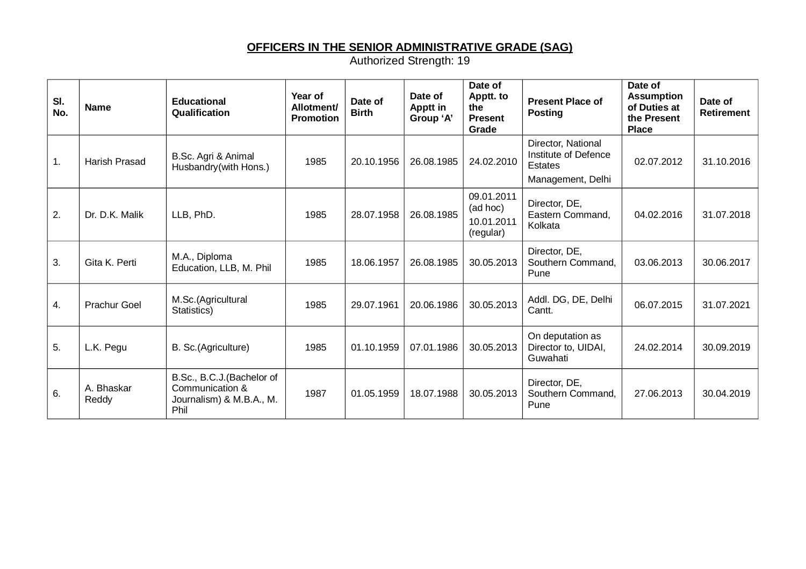# **OFFICERS IN THE SENIOR ADMINISTRATIVE GRADE (SAG)**

| SI.<br>No.     | <b>Name</b>          | <b>Educational</b><br>Qualification                                              | Year of<br>Allotment/<br><b>Promotion</b> | Date of<br><b>Birth</b> | Date of<br>Apptt in<br>Group 'A' | Date of<br>Apptt. to<br>the<br><b>Present</b><br>Grade | <b>Present Place of</b><br><b>Posting</b>                                         | Date of<br><b>Assumption</b><br>of Duties at<br>the Present<br><b>Place</b> | Date of<br><b>Retirement</b> |
|----------------|----------------------|----------------------------------------------------------------------------------|-------------------------------------------|-------------------------|----------------------------------|--------------------------------------------------------|-----------------------------------------------------------------------------------|-----------------------------------------------------------------------------|------------------------------|
| $\mathbf{1}$ . | <b>Harish Prasad</b> | B.Sc. Agri & Animal<br>Husbandry(with Hons.)                                     | 1985                                      | 20.10.1956              | 26.08.1985                       | 24.02.2010                                             | Director, National<br>Institute of Defence<br><b>Estates</b><br>Management, Delhi | 02.07.2012                                                                  | 31.10.2016                   |
| 2.             | Dr. D.K. Malik       | LLB, PhD.                                                                        | 1985                                      | 28.07.1958              | 26.08.1985                       | 09.01.2011<br>(ad hoc)<br>10.01.2011<br>(regular)      | Director, DE,<br>Eastern Command,<br>Kolkata                                      | 04.02.2016                                                                  | 31.07.2018                   |
| 3.             | Gita K. Perti        | M.A., Diploma<br>Education, LLB, M. Phil                                         | 1985                                      | 18.06.1957              | 26.08.1985                       | 30.05.2013                                             | Director, DE,<br>Southern Command,<br>Pune                                        | 03.06.2013                                                                  | 30.06.2017                   |
| 4.             | <b>Prachur Goel</b>  | M.Sc.(Agricultural<br>Statistics)                                                | 1985                                      | 29.07.1961              | 20.06.1986                       | 30.05.2013                                             | Addl. DG, DE, Delhi<br>Cantt.                                                     | 06.07.2015                                                                  | 31.07.2021                   |
| 5.             | L.K. Pegu            | B. Sc.(Agriculture)                                                              | 1985                                      | 01.10.1959              | 07.01.1986                       | 30.05.2013                                             | On deputation as<br>Director to, UIDAI,<br>Guwahati                               | 24.02.2014                                                                  | 30.09.2019                   |
| 6.             | A. Bhaskar<br>Reddy  | B.Sc., B.C.J.(Bachelor of<br>Communication &<br>Journalism) & M.B.A., M.<br>Phil | 1987                                      | 01.05.1959              | 18.07.1988                       | 30.05.2013                                             | Director, DE,<br>Southern Command,<br>Pune                                        | 27.06.2013                                                                  | 30.04.2019                   |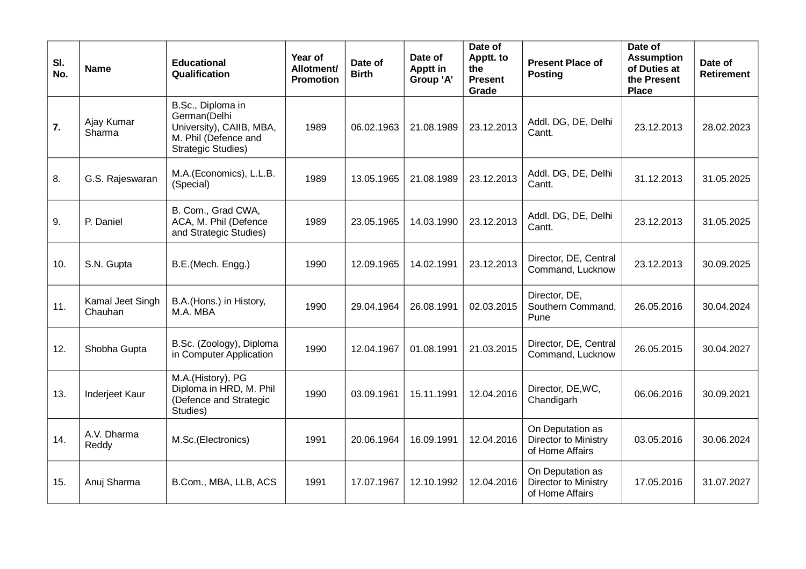| SI.<br>No. | <b>Name</b>                 | <b>Educational</b><br>Qualification                                                                                | Year of<br>Allotment/<br><b>Promotion</b> | Date of<br><b>Birth</b> | Date of<br>Apptt in<br>Group 'A' | Date of<br>Apptt. to<br>the<br><b>Present</b><br>Grade | <b>Present Place of</b><br><b>Posting</b>                   | Date of<br><b>Assumption</b><br>of Duties at<br>the Present<br><b>Place</b> | Date of<br><b>Retirement</b> |
|------------|-----------------------------|--------------------------------------------------------------------------------------------------------------------|-------------------------------------------|-------------------------|----------------------------------|--------------------------------------------------------|-------------------------------------------------------------|-----------------------------------------------------------------------------|------------------------------|
| 7.         | Ajay Kumar<br>Sharma        | B.Sc., Diploma in<br>German(Delhi<br>University), CAIIB, MBA,<br>M. Phil (Defence and<br><b>Strategic Studies)</b> | 1989                                      | 06.02.1963              | 21.08.1989                       | 23.12.2013                                             | Addl. DG, DE, Delhi<br>Cantt.                               | 23.12.2013                                                                  | 28.02.2023                   |
| 8.         | G.S. Rajeswaran             | M.A.(Economics), L.L.B.<br>(Special)                                                                               | 1989                                      | 13.05.1965              | 21.08.1989                       | 23.12.2013                                             | Addl. DG, DE, Delhi<br>Cantt.                               | 31.12.2013                                                                  | 31.05.2025                   |
| 9.         | P. Daniel                   | B. Com., Grad CWA,<br>ACA, M. Phil (Defence<br>and Strategic Studies)                                              | 1989                                      | 23.05.1965              | 14.03.1990                       | 23.12.2013                                             | Addl. DG, DE, Delhi<br>Cantt.                               | 23.12.2013                                                                  | 31.05.2025                   |
| 10.        | S.N. Gupta                  | B.E.(Mech. Engg.)                                                                                                  | 1990                                      | 12.09.1965              | 14.02.1991                       | 23.12.2013                                             | Director, DE, Central<br>Command, Lucknow                   | 23.12.2013                                                                  | 30.09.2025                   |
| 11.        | Kamal Jeet Singh<br>Chauhan | B.A.(Hons.) in History,<br>M.A. MBA                                                                                | 1990                                      | 29.04.1964              | 26.08.1991                       | 02.03.2015                                             | Director, DE,<br>Southern Command,<br>Pune                  | 26.05.2016                                                                  | 30.04.2024                   |
| 12.        | Shobha Gupta                | B.Sc. (Zoology), Diploma<br>in Computer Application                                                                | 1990                                      | 12.04.1967              | 01.08.1991                       | 21.03.2015                                             | Director, DE, Central<br>Command, Lucknow                   | 26.05.2015                                                                  | 30.04.2027                   |
| 13.        | Inderjeet Kaur              | M.A.(History), PG<br>Diploma in HRD, M. Phil<br>(Defence and Strategic<br>Studies)                                 | 1990                                      | 03.09.1961              | 15.11.1991                       | 12.04.2016                                             | Director, DE, WC,<br>Chandigarh                             | 06.06.2016                                                                  | 30.09.2021                   |
| 14.        | A.V. Dharma<br>Reddy        | M.Sc.(Electronics)                                                                                                 | 1991                                      | 20.06.1964              | 16.09.1991                       | 12.04.2016                                             | On Deputation as<br>Director to Ministry<br>of Home Affairs | 03.05.2016                                                                  | 30.06.2024                   |
| 15.        | Anuj Sharma                 | B.Com., MBA, LLB, ACS                                                                                              | 1991                                      | 17.07.1967              | 12.10.1992                       | 12.04.2016                                             | On Deputation as<br>Director to Ministry<br>of Home Affairs | 17.05.2016                                                                  | 31.07.2027                   |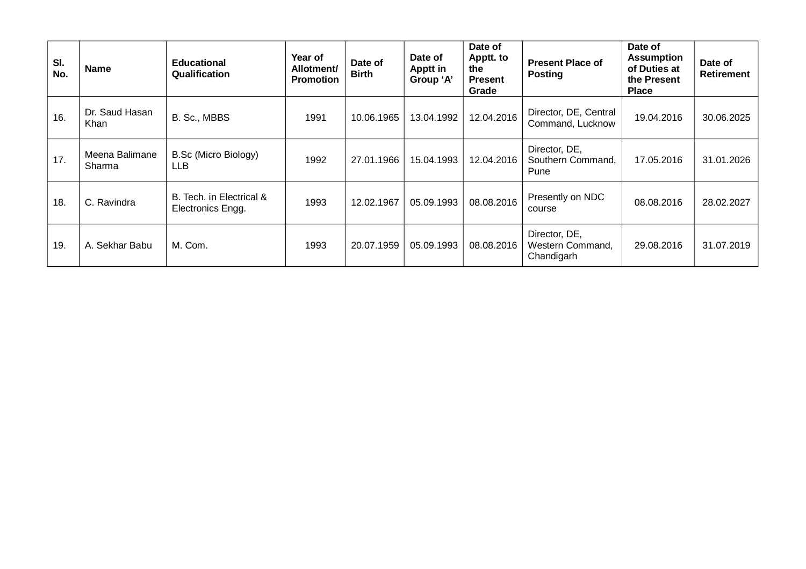| SI.<br>No. | <b>Name</b>              | <b>Educational</b><br>Qualification           | Year of<br>Allotment/<br><b>Promotion</b> | Date of<br><b>Birth</b> | Date of<br><b>Apptt in</b><br>Group 'A' | Date of<br>Apptt. to<br>the<br><b>Present</b><br>Grade | <b>Present Place of</b><br><b>Posting</b>       | Date of<br><b>Assumption</b><br>of Duties at<br>the Present<br><b>Place</b> | Date of<br><b>Retirement</b> |
|------------|--------------------------|-----------------------------------------------|-------------------------------------------|-------------------------|-----------------------------------------|--------------------------------------------------------|-------------------------------------------------|-----------------------------------------------------------------------------|------------------------------|
| 16.        | Dr. Saud Hasan<br>Khan   | B. Sc., MBBS                                  | 1991                                      | 10.06.1965              | 13.04.1992                              | 12.04.2016                                             | Director, DE, Central<br>Command, Lucknow       | 19.04.2016                                                                  | 30.06.2025                   |
| 17.        | Meena Balimane<br>Sharma | B.Sc (Micro Biology)<br><b>LLB</b>            | 1992                                      | 27.01.1966              | 15.04.1993                              | 12.04.2016                                             | Director, DE,<br>Southern Command,<br>Pune      | 17.05.2016                                                                  | 31.01.2026                   |
| 18.        | C. Ravindra              | B. Tech. in Electrical &<br>Electronics Engg. | 1993                                      | 12.02.1967              | 05.09.1993                              | 08.08.2016                                             | Presently on NDC<br>course                      | 08.08.2016                                                                  | 28.02.2027                   |
| 19.        | A. Sekhar Babu           | M. Com.                                       | 1993                                      | 20.07.1959              | 05.09.1993                              | 08.08.2016                                             | Director, DE,<br>Western Command,<br>Chandigarh | 29.08.2016                                                                  | 31.07.2019                   |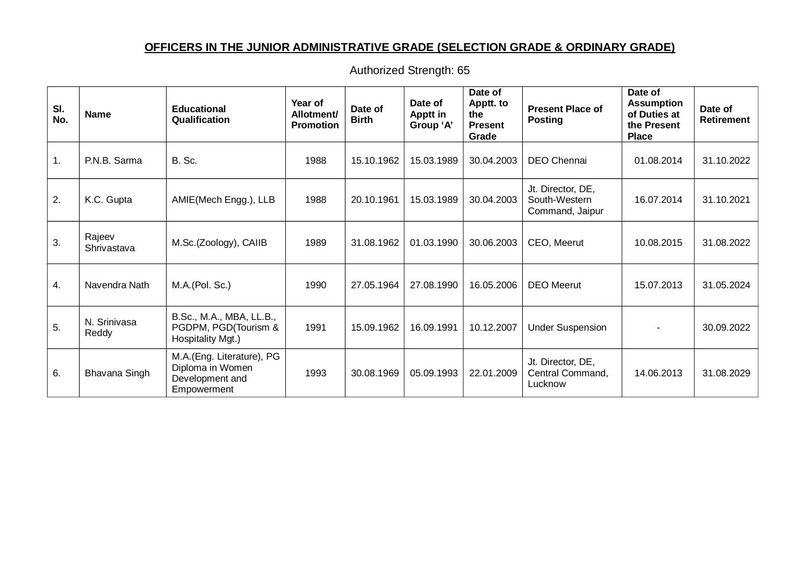### **OFFICERS IN THE JUNIOR ADMINISTRATIVE GRADE (SELECTION GRADE & ORDINARY GRADE)**

| SI.<br>No. | <b>Name</b>           | <b>Educational</b><br>Qualification                                             | Year of<br>Allotment/<br><b>Promotion</b> | Date of<br><b>Birth</b> | Date of<br><b>Apptt in</b><br>Group 'A' | Date of<br>Apptt. to<br>the<br><b>Present</b><br>Grade | <b>Present Place of</b><br><b>Posting</b>             | Date of<br><b>Assumption</b><br>of Duties at<br>the Present<br><b>Place</b> | Date of<br>Retirement |
|------------|-----------------------|---------------------------------------------------------------------------------|-------------------------------------------|-------------------------|-----------------------------------------|--------------------------------------------------------|-------------------------------------------------------|-----------------------------------------------------------------------------|-----------------------|
| 1.         | P.N.B. Sarma          | B. Sc.                                                                          | 1988                                      | 15.10.1962              | 15.03.1989                              | 30.04.2003                                             | DEO Chennai                                           | 01.08.2014                                                                  | 31.10.2022            |
| 2.         | K.C. Gupta            | AMIE(Mech Engg.), LLB                                                           | 1988                                      | 20.10.1961              | 15.03.1989                              | 30.04.2003                                             | Jt. Director, DE,<br>South-Western<br>Command, Jaipur | 16.07.2014                                                                  | 31.10.2021            |
| 3.         | Rajeev<br>Shrivastava | M.Sc.(Zoology), CAIIB                                                           | 1989                                      | 31.08.1962              | 01.03.1990                              | 30.06.2003                                             | CEO, Meerut                                           | 10.08.2015                                                                  | 31.08.2022            |
| 4.         | Navendra Nath         | M.A.(Pol. Sc.)                                                                  | 1990                                      | 27.05.1964              | 27.08.1990                              | 16.05.2006                                             | <b>DEO</b> Meerut                                     | 15.07.2013                                                                  | 31.05.2024            |
| 5.         | N. Srinivasa<br>Reddy | B.Sc., M.A., MBA, LL.B.,<br>PGDPM, PGD(Tourism &<br>Hospitality Mgt.)           | 1991                                      | 15.09.1962              | 16.09.1991                              | 10.12.2007                                             | <b>Under Suspension</b>                               |                                                                             | 30.09.2022            |
| 6.         | Bhavana Singh         | M.A.(Eng. Literature), PG<br>Diploma in Women<br>Development and<br>Empowerment | 1993                                      | 30.08.1969              | 05.09.1993                              | 22.01.2009                                             | Jt. Director, DE,<br>Central Command,<br>Lucknow      | 14.06.2013                                                                  | 31.08.2029            |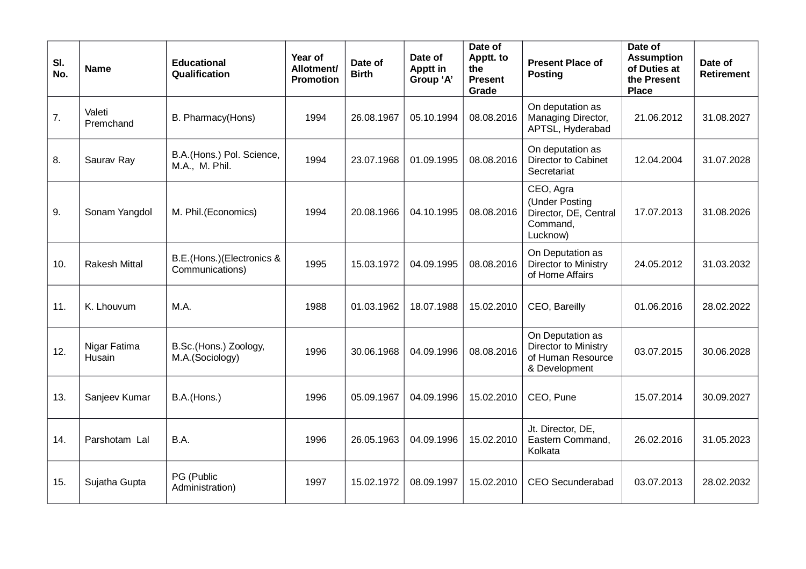| SI.<br>No. | <b>Name</b>            | <b>Educational</b><br>Qualification          | <b>Year of</b><br>Allotment/<br><b>Promotion</b> | Date of<br><b>Birth</b> | Date of<br><b>Apptt in</b><br>Group 'A' | Date of<br>Apptt. to<br>the<br><b>Present</b><br>Grade | <b>Present Place of</b><br><b>Posting</b>                                      | Date of<br><b>Assumption</b><br>of Duties at<br>the Present<br><b>Place</b> | Date of<br><b>Retirement</b> |
|------------|------------------------|----------------------------------------------|--------------------------------------------------|-------------------------|-----------------------------------------|--------------------------------------------------------|--------------------------------------------------------------------------------|-----------------------------------------------------------------------------|------------------------------|
| 7.         | Valeti<br>Premchand    | B. Pharmacy(Hons)                            | 1994                                             | 26.08.1967              | 05.10.1994                              | 08.08.2016                                             | On deputation as<br>Managing Director,<br>APTSL, Hyderabad                     | 21.06.2012                                                                  | 31.08.2027                   |
| 8.         | Saurav Ray             | B.A.(Hons.) Pol. Science,<br>M.A., M. Phil.  | 1994                                             | 23.07.1968              | 01.09.1995                              | 08.08.2016                                             | On deputation as<br>Director to Cabinet<br>Secretariat                         | 12.04.2004                                                                  | 31.07.2028                   |
| 9.         | Sonam Yangdol          | M. Phil.(Economics)                          | 1994                                             | 20.08.1966              | 04.10.1995                              | 08.08.2016                                             | CEO, Agra<br>(Under Posting<br>Director, DE, Central<br>Command,<br>Lucknow)   | 17.07.2013                                                                  | 31.08.2026                   |
| 10.        | <b>Rakesh Mittal</b>   | B.E.(Hons.)(Electronics &<br>Communications) | 1995                                             | 15.03.1972              | 04.09.1995                              | 08.08.2016                                             | On Deputation as<br>Director to Ministry<br>of Home Affairs                    | 24.05.2012                                                                  | 31.03.2032                   |
| 11.        | K. Lhouvum             | M.A.                                         | 1988                                             | 01.03.1962              | 18.07.1988                              | 15.02.2010                                             | CEO, Bareilly                                                                  | 01.06.2016                                                                  | 28.02.2022                   |
| 12.        | Nigar Fatima<br>Husain | B.Sc.(Hons.) Zoology,<br>M.A.(Sociology)     | 1996                                             | 30.06.1968              | 04.09.1996                              | 08.08.2016                                             | On Deputation as<br>Director to Ministry<br>of Human Resource<br>& Development | 03.07.2015                                                                  | 30.06.2028                   |
| 13.        | Sanjeev Kumar          | B.A.(Hons.)                                  | 1996                                             | 05.09.1967              | 04.09.1996                              | 15.02.2010                                             | CEO, Pune                                                                      | 15.07.2014                                                                  | 30.09.2027                   |
| 14.        | Parshotam Lal          | B.A.                                         | 1996                                             | 26.05.1963              | 04.09.1996                              | 15.02.2010                                             | Jt. Director, DE,<br>Eastern Command,<br>Kolkata                               | 26.02.2016                                                                  | 31.05.2023                   |
| 15.        | Sujatha Gupta          | PG (Public<br>Administration)                | 1997                                             | 15.02.1972              | 08.09.1997                              | 15.02.2010                                             | CEO Secunderabad                                                               | 03.07.2013                                                                  | 28.02.2032                   |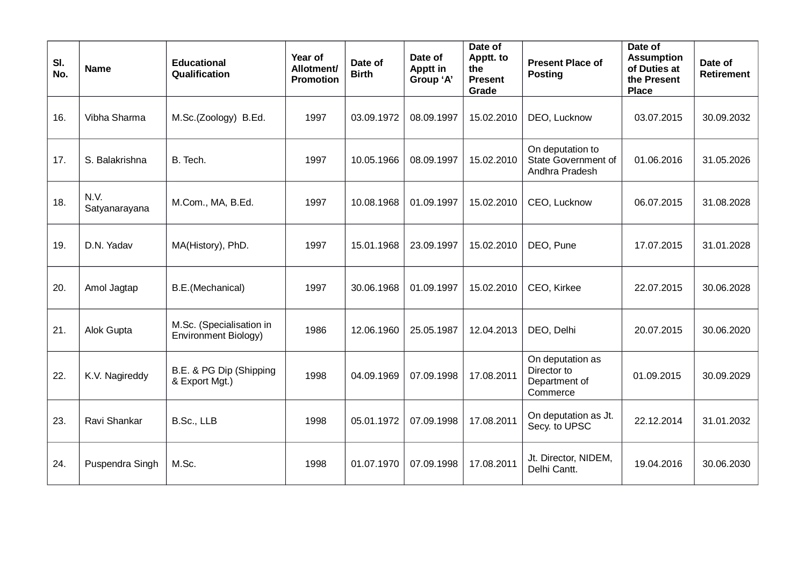| SI.<br>No. | <b>Name</b>           | <b>Educational</b><br>Qualification              | Year of<br>Allotment/<br><b>Promotion</b> | Date of<br><b>Birth</b> | Date of<br>Apptt in<br>Group 'A' | Date of<br>Apptt. to<br>the<br><b>Present</b><br>Grade | <b>Present Place of</b><br><b>Posting</b>                    | Date of<br><b>Assumption</b><br>of Duties at<br>the Present<br><b>Place</b> | Date of<br><b>Retirement</b> |
|------------|-----------------------|--------------------------------------------------|-------------------------------------------|-------------------------|----------------------------------|--------------------------------------------------------|--------------------------------------------------------------|-----------------------------------------------------------------------------|------------------------------|
| 16.        | Vibha Sharma          | M.Sc.(Zoology) B.Ed.                             | 1997                                      | 03.09.1972              | 08.09.1997                       | 15.02.2010                                             | DEO, Lucknow                                                 | 03.07.2015                                                                  | 30.09.2032                   |
| 17.        | S. Balakrishna        | B. Tech.                                         | 1997                                      | 10.05.1966              | 08.09.1997                       | 15.02.2010                                             | On deputation to<br>State Government of<br>Andhra Pradesh    | 01.06.2016                                                                  | 31.05.2026                   |
| 18.        | N.V.<br>Satyanarayana | M.Com., MA, B.Ed.                                | 1997                                      | 10.08.1968              | 01.09.1997                       | 15.02.2010                                             | CEO, Lucknow                                                 | 06.07.2015                                                                  | 31.08.2028                   |
| 19.        | D.N. Yadav            | MA(History), PhD.                                | 1997                                      | 15.01.1968              | 23.09.1997                       | 15.02.2010                                             | DEO, Pune                                                    | 17.07.2015                                                                  | 31.01.2028                   |
| 20.        | Amol Jagtap           | B.E.(Mechanical)                                 | 1997                                      | 30.06.1968              | 01.09.1997                       | 15.02.2010                                             | CEO, Kirkee                                                  | 22.07.2015                                                                  | 30.06.2028                   |
| 21.        | Alok Gupta            | M.Sc. (Specialisation in<br>Environment Biology) | 1986                                      | 12.06.1960              | 25.05.1987                       | 12.04.2013                                             | DEO, Delhi                                                   | 20.07.2015                                                                  | 30.06.2020                   |
| 22.        | K.V. Nagireddy        | B.E. & PG Dip (Shipping<br>& Export Mgt.)        | 1998                                      | 04.09.1969              | 07.09.1998                       | 17.08.2011                                             | On deputation as<br>Director to<br>Department of<br>Commerce | 01.09.2015                                                                  | 30.09.2029                   |
| 23.        | Ravi Shankar          | B.Sc., LLB                                       | 1998                                      | 05.01.1972              | 07.09.1998                       | 17.08.2011                                             | On deputation as Jt.<br>Secy. to UPSC                        | 22.12.2014                                                                  | 31.01.2032                   |
| 24.        | Puspendra Singh       | M.Sc.                                            | 1998                                      | 01.07.1970              | 07.09.1998                       | 17.08.2011                                             | Jt. Director, NIDEM,<br>Delhi Cantt.                         | 19.04.2016                                                                  | 30.06.2030                   |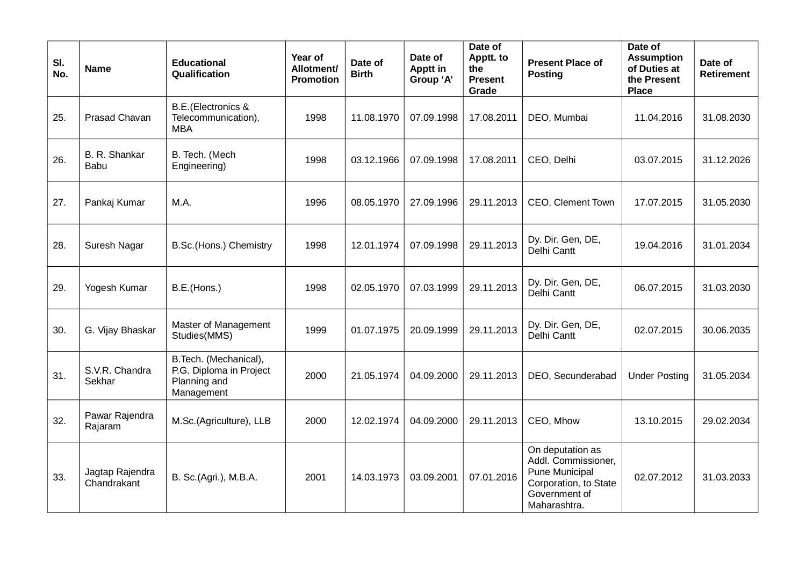| SI.<br>No. | <b>Name</b>                    | <b>Educational</b><br>Qualification                                            | Year of<br>Allotment/<br><b>Promotion</b> | Date of<br><b>Birth</b> | Date of<br>Apptt in<br>Group 'A' | Date of<br>Apptt. to<br>the<br><b>Present</b><br>Grade | <b>Present Place of</b><br><b>Posting</b>                                                                           | Date of<br><b>Assumption</b><br>of Duties at<br>the Present<br><b>Place</b> | Date of<br><b>Retirement</b> |
|------------|--------------------------------|--------------------------------------------------------------------------------|-------------------------------------------|-------------------------|----------------------------------|--------------------------------------------------------|---------------------------------------------------------------------------------------------------------------------|-----------------------------------------------------------------------------|------------------------------|
| 25.        | Prasad Chavan                  | <b>B.E.</b> (Electronics &<br>Telecommunication),<br><b>MBA</b>                | 1998                                      | 11.08.1970              | 07.09.1998                       | 17.08.2011                                             | DEO, Mumbai                                                                                                         | 11.04.2016                                                                  | 31.08.2030                   |
| 26.        | B. R. Shankar<br><b>Babu</b>   | B. Tech. (Mech<br>Engineering)                                                 | 1998                                      | 03.12.1966              | 07.09.1998                       | 17.08.2011                                             | CEO, Delhi                                                                                                          | 03.07.2015                                                                  | 31.12.2026                   |
| 27.        | Pankaj Kumar                   | M.A.                                                                           | 1996                                      | 08.05.1970              | 27.09.1996                       | 29.11.2013                                             | CEO, Clement Town                                                                                                   | 17.07.2015                                                                  | 31.05.2030                   |
| 28.        | Suresh Nagar                   | B.Sc.(Hons.) Chemistry                                                         | 1998                                      | 12.01.1974              | 07.09.1998                       | 29.11.2013                                             | Dy. Dir. Gen, DE,<br>Delhi Cantt                                                                                    | 19.04.2016                                                                  | 31.01.2034                   |
| 29.        | Yogesh Kumar                   | B.E.(Hons.)                                                                    | 1998                                      | 02.05.1970              | 07.03.1999                       | 29.11.2013                                             | Dy. Dir. Gen, DE,<br>Delhi Cantt                                                                                    | 06.07.2015                                                                  | 31.03.2030                   |
| 30.        | G. Vijay Bhaskar               | Master of Management<br>Studies(MMS)                                           | 1999                                      | 01.07.1975              | 20.09.1999                       | 29.11.2013                                             | Dy. Dir. Gen, DE,<br>Delhi Cantt                                                                                    | 02.07.2015                                                                  | 30.06.2035                   |
| 31.        | S.V.R. Chandra<br>Sekhar       | B.Tech. (Mechanical),<br>P.G. Diploma in Project<br>Planning and<br>Management | 2000                                      | 21.05.1974              | 04.09.2000                       | 29.11.2013                                             | DEO, Secunderabad                                                                                                   | <b>Under Posting</b>                                                        | 31.05.2034                   |
| 32.        | Pawar Rajendra<br>Rajaram      | M.Sc.(Agriculture), LLB                                                        | 2000                                      | 12.02.1974              | 04.09.2000                       | 29.11.2013                                             | CEO, Mhow                                                                                                           | 13.10.2015                                                                  | 29.02.2034                   |
| 33.        | Jagtap Rajendra<br>Chandrakant | B. Sc.(Agri.), M.B.A.                                                          | 2001                                      | 14.03.1973              | 03.09.2001                       | 07.01.2016                                             | On deputation as<br>Addl. Commissioner,<br>Pune Municipal<br>Corporation, to State<br>Government of<br>Maharashtra. | 02.07.2012                                                                  | 31.03.2033                   |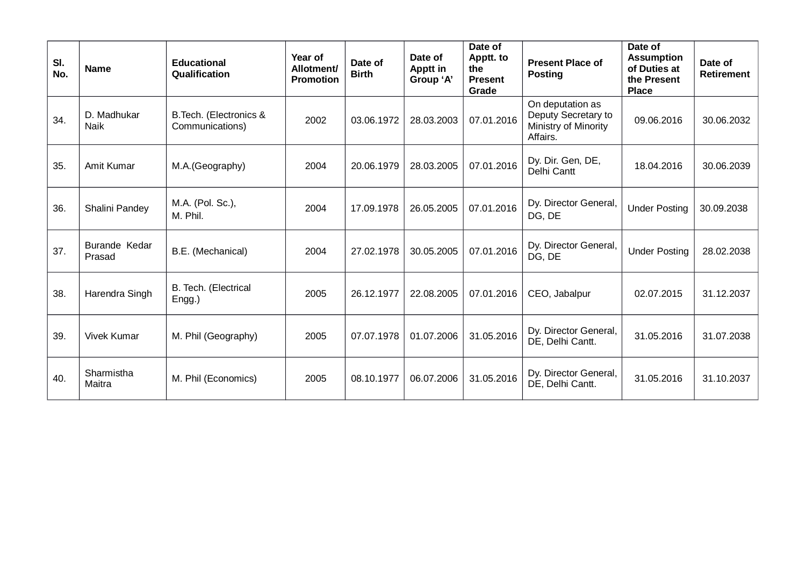| SI.<br>No. | <b>Name</b>             | <b>Educational</b><br>Qualification        | Year of<br>Allotment/<br><b>Promotion</b> | Date of<br><b>Birth</b> | Date of<br>Apptt in<br>Group 'A' | Date of<br>Apptt. to<br>the<br><b>Present</b><br>Grade | <b>Present Place of</b><br><b>Posting</b>                                   | Date of<br><b>Assumption</b><br>of Duties at<br>the Present<br><b>Place</b> | Date of<br><b>Retirement</b> |
|------------|-------------------------|--------------------------------------------|-------------------------------------------|-------------------------|----------------------------------|--------------------------------------------------------|-----------------------------------------------------------------------------|-----------------------------------------------------------------------------|------------------------------|
| 34.        | D. Madhukar<br>Naik     | B. Tech. (Electronics &<br>Communications) | 2002                                      | 03.06.1972              | 28.03.2003                       | 07.01.2016                                             | On deputation as<br>Deputy Secretary to<br>Ministry of Minority<br>Affairs. | 09.06.2016                                                                  | 30.06.2032                   |
| 35.        | Amit Kumar              | M.A.(Geography)                            | 2004                                      | 20.06.1979              | 28.03.2005                       | 07.01.2016                                             | Dy. Dir. Gen, DE,<br>Delhi Cantt                                            | 18.04.2016                                                                  | 30.06.2039                   |
| 36.        | Shalini Pandey          | M.A. (Pol. Sc.),<br>M. Phil.               | 2004                                      | 17.09.1978              | 26.05.2005                       | 07.01.2016                                             | Dy. Director General,<br>DG, DE                                             | <b>Under Posting</b>                                                        | 30.09.2038                   |
| 37.        | Burande Kedar<br>Prasad | B.E. (Mechanical)                          | 2004                                      | 27.02.1978              | 30.05.2005                       | 07.01.2016                                             | Dy. Director General,<br>DG, DE                                             | <b>Under Posting</b>                                                        | 28.02.2038                   |
| 38.        | Harendra Singh          | B. Tech. (Electrical<br>$Engg.$ )          | 2005                                      | 26.12.1977              | 22.08.2005                       | 07.01.2016                                             | CEO, Jabalpur                                                               | 02.07.2015                                                                  | 31.12.2037                   |
| 39.        | <b>Vivek Kumar</b>      | M. Phil (Geography)                        | 2005                                      | 07.07.1978              | 01.07.2006                       | 31.05.2016                                             | Dy. Director General,<br>DE, Delhi Cantt.                                   | 31.05.2016                                                                  | 31.07.2038                   |
| 40.        | Sharmistha<br>Maitra    | M. Phil (Economics)                        | 2005                                      | 08.10.1977              | 06.07.2006                       | 31.05.2016                                             | Dy. Director General,<br>DE, Delhi Cantt.                                   | 31.05.2016                                                                  | 31.10.2037                   |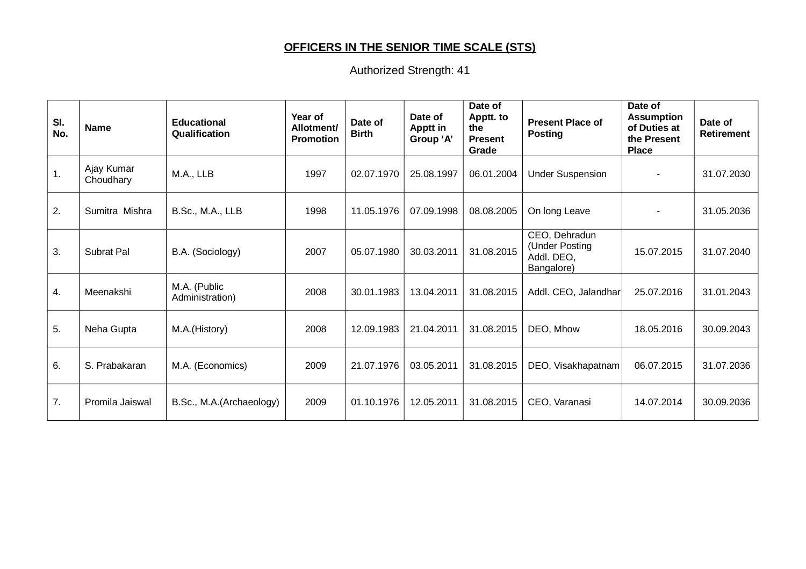# **OFFICERS IN THE SENIOR TIME SCALE (STS)**

| SI.<br>No.     | <b>Name</b>             | <b>Educational</b><br>Qualification | Year of<br><b>Allotment</b><br><b>Promotion</b> | Date of<br><b>Birth</b> | Date of<br><b>Apptt in</b><br>Group 'A' | Date of<br>Apptt. to<br>the<br><b>Present</b><br>Grade | <b>Present Place of</b><br><b>Posting</b>                   | Date of<br><b>Assumption</b><br>of Duties at<br>the Present<br><b>Place</b> | Date of<br>Retirement |
|----------------|-------------------------|-------------------------------------|-------------------------------------------------|-------------------------|-----------------------------------------|--------------------------------------------------------|-------------------------------------------------------------|-----------------------------------------------------------------------------|-----------------------|
| $\mathbf{1}$ . | Ajay Kumar<br>Choudhary | M.A., LLB                           | 1997                                            | 02.07.1970              | 25.08.1997                              | 06.01.2004                                             | <b>Under Suspension</b>                                     |                                                                             | 31.07.2030            |
| 2.             | Sumitra Mishra          | B.Sc., M.A., LLB                    | 1998                                            | 11.05.1976              | 07.09.1998                              | 08.08.2005                                             | On long Leave                                               |                                                                             | 31.05.2036            |
| 3.             | Subrat Pal              | B.A. (Sociology)                    | 2007                                            | 05.07.1980              | 30.03.2011                              | 31.08.2015                                             | CEO, Dehradun<br>(Under Posting<br>Addl. DEO,<br>Bangalore) | 15.07.2015                                                                  | 31.07.2040            |
| 4.             | Meenakshi               | M.A. (Public<br>Administration)     | 2008                                            | 30.01.1983              | 13.04.2011                              | 31.08.2015                                             | Addl. CEO, Jalandhar                                        | 25.07.2016                                                                  | 31.01.2043            |
| 5.             | Neha Gupta              | M.A.(History)                       | 2008                                            | 12.09.1983              | 21.04.2011                              | 31.08.2015                                             | DEO, Mhow                                                   | 18.05.2016                                                                  | 30.09.2043            |
| 6.             | S. Prabakaran           | M.A. (Economics)                    | 2009                                            | 21.07.1976              | 03.05.2011                              | 31.08.2015                                             | DEO, Visakhapatnam                                          | 06.07.2015                                                                  | 31.07.2036            |
| 7.             | Promila Jaiswal         | B.Sc., M.A.(Archaeology)            | 2009                                            | 01.10.1976              | 12.05.2011                              | 31.08.2015                                             | CEO, Varanasi                                               | 14.07.2014                                                                  | 30.09.2036            |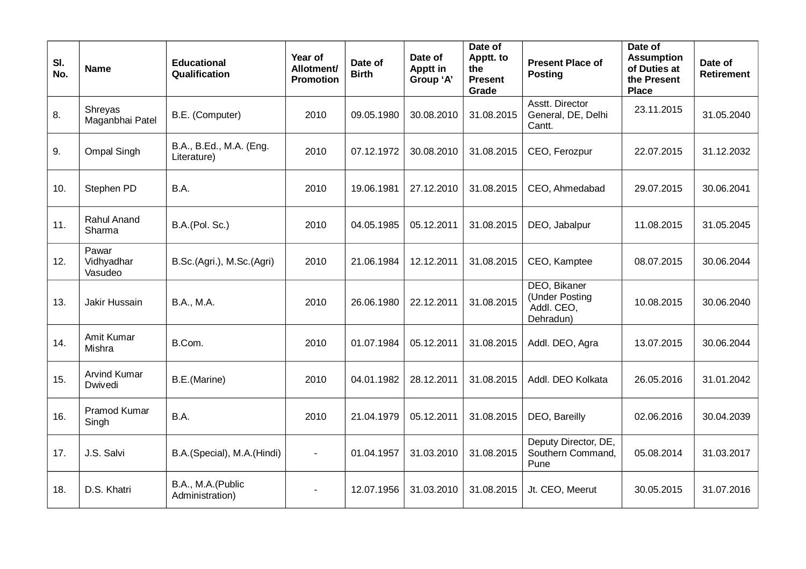| SI.<br>No. | <b>Name</b>                    | <b>Educational</b><br>Qualification    | Year of<br>Allotment/<br><b>Promotion</b> | Date of<br><b>Birth</b> | Date of<br>Apptt in<br>Group 'A' | Date of<br>Apptt. to<br>the<br><b>Present</b><br>Grade | <b>Present Place of</b><br><b>Posting</b>                 | Date of<br><b>Assumption</b><br>of Duties at<br>the Present<br><b>Place</b> | Date of<br><b>Retirement</b> |
|------------|--------------------------------|----------------------------------------|-------------------------------------------|-------------------------|----------------------------------|--------------------------------------------------------|-----------------------------------------------------------|-----------------------------------------------------------------------------|------------------------------|
| 8.         | Shreyas<br>Maganbhai Patel     | B.E. (Computer)                        | 2010                                      | 09.05.1980              | 30.08.2010                       | 31.08.2015                                             | Asstt. Director<br>General, DE, Delhi<br>Cantt.           | 23.11.2015                                                                  | 31.05.2040                   |
| 9.         | <b>Ompal Singh</b>             | B.A., B.Ed., M.A. (Eng.<br>Literature) | 2010                                      | 07.12.1972              | 30.08.2010                       | 31.08.2015                                             | CEO, Ferozpur                                             | 22.07.2015                                                                  | 31.12.2032                   |
| 10.        | Stephen PD                     | B.A.                                   | 2010                                      | 19.06.1981              | 27.12.2010                       | 31.08.2015                                             | CEO, Ahmedabad                                            | 29.07.2015                                                                  | 30.06.2041                   |
| 11.        | Rahul Anand<br>Sharma          | B.A.(Pol. Sc.)                         | 2010                                      | 04.05.1985              | 05.12.2011                       | 31.08.2015                                             | DEO, Jabalpur                                             | 11.08.2015                                                                  | 31.05.2045                   |
| 12.        | Pawar<br>Vidhyadhar<br>Vasudeo | B.Sc.(Agri.), M.Sc.(Agri)              | 2010                                      | 21.06.1984              | 12.12.2011                       | 31.08.2015                                             | CEO, Kamptee                                              | 08.07.2015                                                                  | 30.06.2044                   |
| 13.        | Jakir Hussain                  | <b>B.A., M.A.</b>                      | 2010                                      | 26.06.1980              | 22.12.2011                       | 31.08.2015                                             | DEO, Bikaner<br>(Under Posting<br>Addl. CEO,<br>Dehradun) | 10.08.2015                                                                  | 30.06.2040                   |
| 14.        | Amit Kumar<br>Mishra           | B.Com.                                 | 2010                                      | 01.07.1984              | 05.12.2011                       | 31.08.2015                                             | Addl. DEO, Agra                                           | 13.07.2015                                                                  | 30.06.2044                   |
| 15.        | Arvind Kumar<br>Dwivedi        | B.E.(Marine)                           | 2010                                      | 04.01.1982              | 28.12.2011                       | 31.08.2015                                             | Addl. DEO Kolkata                                         | 26.05.2016                                                                  | 31.01.2042                   |
| 16.        | Pramod Kumar<br>Singh          | B.A.                                   | 2010                                      | 21.04.1979              | 05.12.2011                       | 31.08.2015                                             | DEO, Bareilly                                             | 02.06.2016                                                                  | 30.04.2039                   |
| 17.        | J.S. Salvi                     | B.A.(Special), M.A.(Hindi)             | $\overline{\phantom{a}}$                  | 01.04.1957              | 31.03.2010                       | 31.08.2015                                             | Deputy Director, DE,<br>Southern Command,<br>Pune         | 05.08.2014                                                                  | 31.03.2017                   |
| 18.        | D.S. Khatri                    | B.A., M.A.(Public<br>Administration)   |                                           | 12.07.1956              | 31.03.2010                       | 31.08.2015                                             | Jt. CEO, Meerut                                           | 30.05.2015                                                                  | 31.07.2016                   |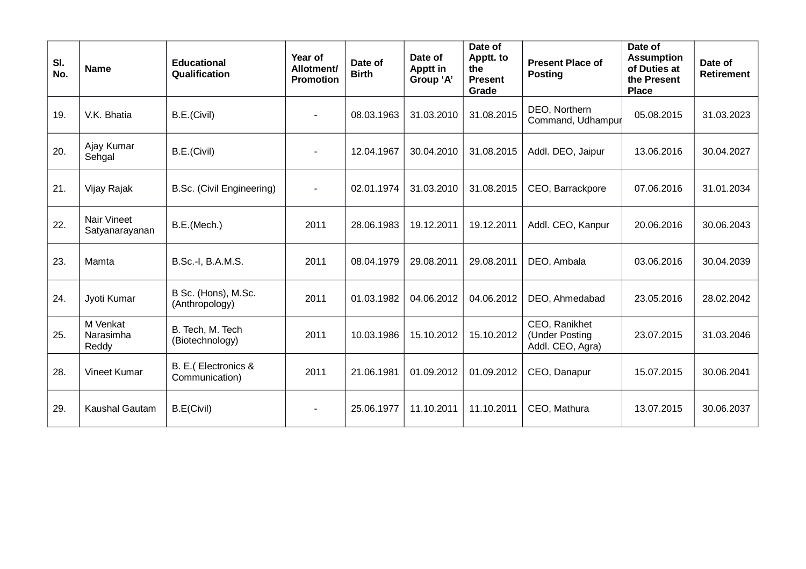| SI.<br>No. | <b>Name</b>                          | <b>Educational</b><br>Qualification   | Year of<br>Allotment/<br><b>Promotion</b> | Date of<br><b>Birth</b> | Date of<br>Apptt in<br>Group 'A' | Date of<br>Apptt. to<br>the<br><b>Present</b><br>Grade | <b>Present Place of</b><br><b>Posting</b>           | Date of<br><b>Assumption</b><br>of Duties at<br>the Present<br><b>Place</b> | Date of<br><b>Retirement</b> |
|------------|--------------------------------------|---------------------------------------|-------------------------------------------|-------------------------|----------------------------------|--------------------------------------------------------|-----------------------------------------------------|-----------------------------------------------------------------------------|------------------------------|
| 19.        | V.K. Bhatia                          | B.E.(Civil)                           |                                           | 08.03.1963              | 31.03.2010                       | 31.08.2015                                             | DEO, Northern<br>Command, Udhampur                  | 05.08.2015                                                                  | 31.03.2023                   |
| 20.        | Ajay Kumar<br>Sehgal                 | B.E.(Civil)                           |                                           | 12.04.1967              | 30.04.2010                       | 31.08.2015                                             | Addl. DEO, Jaipur                                   | 13.06.2016                                                                  | 30.04.2027                   |
| 21.        | Vijay Rajak                          | B.Sc. (Civil Engineering)             |                                           | 02.01.1974              | 31.03.2010                       | 31.08.2015                                             | CEO, Barrackpore                                    | 07.06.2016                                                                  | 31.01.2034                   |
| 22.        | <b>Nair Vineet</b><br>Satyanarayanan | B.E.(Mech.)                           | 2011                                      | 28.06.1983              | 19.12.2011                       | 19.12.2011                                             | Addl. CEO, Kanpur                                   | 20.06.2016                                                                  | 30.06.2043                   |
| 23.        | Mamta                                | B.Sc.-I, B.A.M.S.                     | 2011                                      | 08.04.1979              | 29.08.2011                       | 29.08.2011                                             | DEO, Ambala                                         | 03.06.2016                                                                  | 30.04.2039                   |
| 24.        | Jyoti Kumar                          | B Sc. (Hons), M.Sc.<br>(Anthropology) | 2011                                      | 01.03.1982              | 04.06.2012                       | 04.06.2012                                             | DEO, Ahmedabad                                      | 23.05.2016                                                                  | 28.02.2042                   |
| 25.        | M Venkat<br>Narasimha<br>Reddy       | B. Tech, M. Tech<br>(Biotechnology)   | 2011                                      | 10.03.1986              | 15.10.2012                       | 15.10.2012                                             | CEO, Ranikhet<br>(Under Posting<br>Addl. CEO, Agra) | 23.07.2015                                                                  | 31.03.2046                   |
| 28.        | Vineet Kumar                         | B. E.(Electronics &<br>Communication) | 2011                                      | 21.06.1981              | 01.09.2012                       | 01.09.2012                                             | CEO, Danapur                                        | 15.07.2015                                                                  | 30.06.2041                   |
| 29.        | <b>Kaushal Gautam</b>                | B.E(Civil)                            |                                           | 25.06.1977              | 11.10.2011                       | 11.10.2011                                             | CEO, Mathura                                        | 13.07.2015                                                                  | 30.06.2037                   |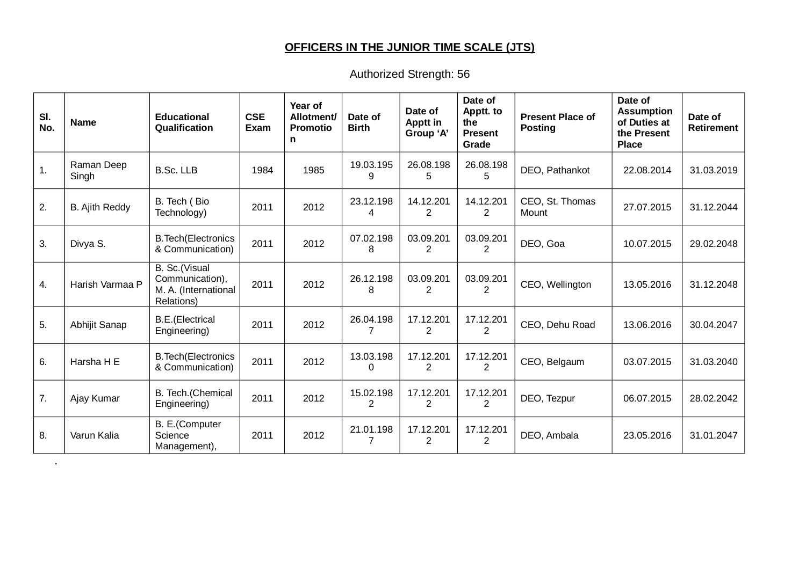# **OFFICERS IN THE JUNIOR TIME SCALE (JTS)**

Authorized Strength: 56

| SI.<br>No.     | <b>Name</b>           | <b>Educational</b><br>Qualification                                    | <b>CSE</b><br><b>Exam</b> | Year of<br>Allotment/<br><b>Promotio</b><br>n | Date of<br><b>Birth</b> | Date of<br>Apptt in<br>Group 'A' | Date of<br>Apptt. to<br>the<br><b>Present</b><br>Grade | <b>Present Place of</b><br><b>Posting</b> | Date of<br><b>Assumption</b><br>of Duties at<br>the Present<br><b>Place</b> | Date of<br><b>Retirement</b> |
|----------------|-----------------------|------------------------------------------------------------------------|---------------------------|-----------------------------------------------|-------------------------|----------------------------------|--------------------------------------------------------|-------------------------------------------|-----------------------------------------------------------------------------|------------------------------|
| $\mathbf{1}$ . | Raman Deep<br>Singh   | <b>B.Sc. LLB</b>                                                       | 1984                      | 1985                                          | 19.03.195<br>9          | 26.08.198<br>5                   | 26.08.198<br>5                                         | DEO, Pathankot                            | 22.08.2014                                                                  | 31.03.2019                   |
| 2.             | <b>B.</b> Ajith Reddy | B. Tech (Bio<br>Technology)                                            | 2011                      | 2012                                          | 23.12.198<br>4          | 14.12.201<br>$\overline{2}$      | 14.12.201<br>2                                         | CEO, St. Thomas<br>Mount                  | 27.07.2015                                                                  | 31.12.2044                   |
| 3.             | Divya S.              | <b>B. Tech</b> (Electronics<br>& Communication)                        | 2011                      | 2012                                          | 07.02.198<br>8          | 03.09.201<br>2                   | 03.09.201<br>$\overline{c}$                            | DEO, Goa                                  | 10.07.2015                                                                  | 29.02.2048                   |
| 4.             | Harish Varmaa P       | B. Sc.(Visual<br>Communication),<br>M. A. (International<br>Relations) | 2011                      | 2012                                          | 26.12.198<br>8          | 03.09.201<br>$\overline{2}$      | 03.09.201<br>$\overline{c}$                            | CEO, Wellington                           | 13.05.2016                                                                  | 31.12.2048                   |
| 5.             | Abhijit Sanap         | <b>B.E.</b> (Electrical<br>Engineering)                                | 2011                      | 2012                                          | 26.04.198               | 17.12.201<br>2                   | 17.12.201<br>$\mathcal{P}$                             | CEO, Dehu Road                            | 13.06.2016                                                                  | 30.04.2047                   |
| 6.             | Harsha H E            | <b>B. Tech</b> (Electronics<br>& Communication)                        | 2011                      | 2012                                          | 13.03.198<br>0          | 17.12.201<br>2                   | 17.12.201<br>2                                         | CEO, Belgaum                              | 03.07.2015                                                                  | 31.03.2040                   |
| 7.             | Ajay Kumar            | B. Tech.(Chemical<br>Engineering)                                      | 2011                      | 2012                                          | 15.02.198<br>2          | 17.12.201<br>2                   | 17.12.201<br>2                                         | DEO, Tezpur                               | 06.07.2015                                                                  | 28.02.2042                   |
| 8.             | Varun Kalia           | B. E.(Computer<br>Science<br>Management),                              | 2011                      | 2012                                          | 21.01.198               | 17.12.201<br>2                   | 17.12.201<br>2                                         | DEO, Ambala                               | 23.05.2016                                                                  | 31.01.2047                   |

.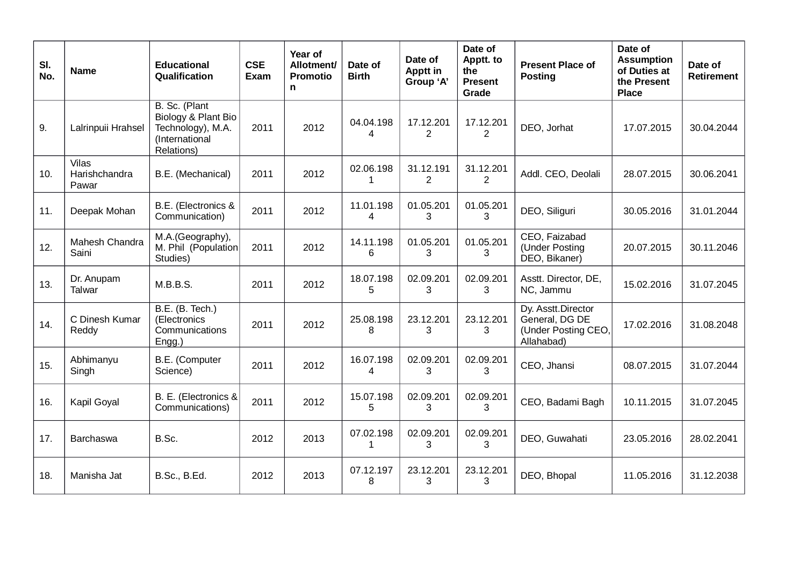| SI.<br>No. | <b>Name</b>                            | <b>Educational</b><br>Qualification                                                       | <b>CSE</b><br>Exam | Year of<br>Allotment/<br><b>Promotio</b><br>n | Date of<br><b>Birth</b>   | Date of<br><b>Apptt in</b><br>Group 'A' | Date of<br>Apptt. to<br>the<br><b>Present</b><br>Grade | <b>Present Place of</b><br><b>Posting</b>                                 | Date of<br><b>Assumption</b><br>of Duties at<br>the Present<br><b>Place</b> | Date of<br><b>Retirement</b> |
|------------|----------------------------------------|-------------------------------------------------------------------------------------------|--------------------|-----------------------------------------------|---------------------------|-----------------------------------------|--------------------------------------------------------|---------------------------------------------------------------------------|-----------------------------------------------------------------------------|------------------------------|
| 9.         | Lalrinpuii Hrahsel                     | B. Sc. (Plant<br>Biology & Plant Bio<br>Technology), M.A.<br>(International<br>Relations) | 2011               | 2012                                          | 04.04.198<br>4            | 17.12.201<br>2                          | 17.12.201<br>$\overline{2}$                            | DEO, Jorhat                                                               | 17.07.2015                                                                  | 30.04.2044                   |
| 10.        | <b>Vilas</b><br>Harishchandra<br>Pawar | B.E. (Mechanical)                                                                         | 2011               | 2012                                          | 02.06.198<br>$\mathbf{1}$ | 31.12.191<br>$\overline{2}$             | 31.12.201<br>$\overline{2}$                            | Addl. CEO, Deolali                                                        | 28.07.2015                                                                  | 30.06.2041                   |
| 11.        | Deepak Mohan                           | B.E. (Electronics &<br>Communication)                                                     | 2011               | 2012                                          | 11.01.198<br>4            | 01.05.201<br>3                          | 01.05.201<br>3                                         | DEO, Siliguri                                                             | 30.05.2016                                                                  | 31.01.2044                   |
| 12.        | Mahesh Chandra<br>Saini                | M.A.(Geography),<br>M. Phil (Population<br>Studies)                                       | 2011               | 2012                                          | 14.11.198<br>6            | 01.05.201<br>3                          | 01.05.201<br>3                                         | CEO, Faizabad<br>(Under Posting<br>DEO, Bikaner)                          | 20.07.2015                                                                  | 30.11.2046                   |
| 13.        | Dr. Anupam<br>Talwar                   | M.B.B.S.                                                                                  | 2011               | 2012                                          | 18.07.198<br>5            | 02.09.201<br>3                          | 02.09.201<br>3                                         | Asstt. Director, DE,<br>NC, Jammu                                         | 15.02.2016                                                                  | 31.07.2045                   |
| 14.        | C Dinesh Kumar<br>Reddy                | B.E. (B. Tech.)<br>(Electronics<br>Communications<br>Engg.)                               | 2011               | 2012                                          | 25.08.198<br>8            | 23.12.201<br>3                          | 23.12.201<br>3                                         | Dy. Asstt.Director<br>General, DG DE<br>(Under Posting CEO,<br>Allahabad) | 17.02.2016                                                                  | 31.08.2048                   |
| 15.        | Abhimanyu<br>Singh                     | B.E. (Computer<br>Science)                                                                | 2011               | 2012                                          | 16.07.198<br>4            | 02.09.201<br>3                          | 02.09.201<br>3                                         | CEO, Jhansi                                                               | 08.07.2015                                                                  | 31.07.2044                   |
| 16.        | Kapil Goyal                            | B. E. (Electronics &<br>Communications)                                                   | 2011               | 2012                                          | 15.07.198<br>5            | 02.09.201<br>3                          | 02.09.201<br>3                                         | CEO, Badami Bagh                                                          | 10.11.2015                                                                  | 31.07.2045                   |
| 17.        | <b>Barchaswa</b>                       | B.Sc.                                                                                     | 2012               | 2013                                          | 07.02.198<br>$\mathbf{1}$ | 02.09.201<br>3                          | 02.09.201<br>3                                         | DEO, Guwahati                                                             | 23.05.2016                                                                  | 28.02.2041                   |
| 18.        | Manisha Jat                            | <b>B.Sc., B.Ed.</b>                                                                       | 2012               | 2013                                          | 07.12.197<br>8            | 23.12.201<br>3                          | 23.12.201<br>3                                         | DEO, Bhopal                                                               | 11.05.2016                                                                  | 31.12.2038                   |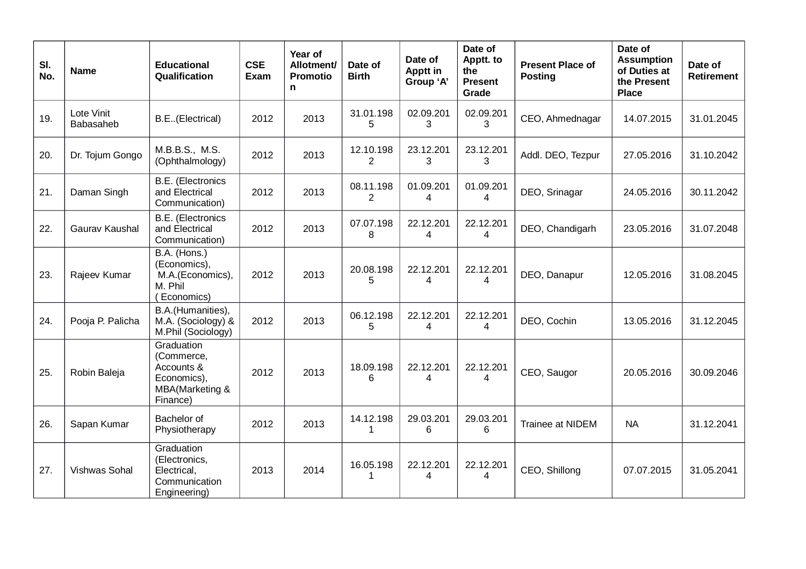| SI.<br>No. | <b>Name</b>                    | <b>Educational</b><br>Qualification                                                  | <b>CSE</b><br>Exam | Year of<br>Allotment/<br><b>Promotio</b><br>n | Date of<br><b>Birth</b>     | Date of<br><b>Apptt in</b><br>Group 'A' | Date of<br>Apptt. to<br>the<br><b>Present</b><br>Grade | <b>Present Place of</b><br><b>Posting</b> | Date of<br><b>Assumption</b><br>of Duties at<br>the Present<br><b>Place</b> | Date of<br><b>Retirement</b> |
|------------|--------------------------------|--------------------------------------------------------------------------------------|--------------------|-----------------------------------------------|-----------------------------|-----------------------------------------|--------------------------------------------------------|-------------------------------------------|-----------------------------------------------------------------------------|------------------------------|
| 19.        | Lote Vinit<br><b>Babasaheb</b> | B.E. (Electrical)                                                                    | 2012               | 2013                                          | 31.01.198<br>5              | 02.09.201<br>3                          | 02.09.201<br>3                                         | CEO, Ahmednagar                           | 14.07.2015                                                                  | 31.01.2045                   |
| 20.        | Dr. Tojum Gongo                | M.B.B.S., M.S.<br>(Ophthalmology)                                                    | 2012               | 2013                                          | 12.10.198<br>$\overline{2}$ | 23.12.201<br>3                          | 23.12.201<br>3                                         | Addl. DEO, Tezpur                         | 27.05.2016                                                                  | 31.10.2042                   |
| 21.        | Daman Singh                    | <b>B.E.</b> (Electronics<br>and Electrical<br>Communication)                         | 2012               | 2013                                          | 08.11.198<br>$\overline{c}$ | 01.09.201<br>4                          | 01.09.201<br>4                                         | DEO, Srinagar                             | 24.05.2016                                                                  | 30.11.2042                   |
| 22.        | Gaurav Kaushal                 | <b>B.E.</b> (Electronics<br>and Electrical<br>Communication)                         | 2012               | 2013                                          | 07.07.198<br>8              | 22.12.201<br>4                          | 22.12.201<br>4                                         | DEO, Chandigarh                           | 23.05.2016                                                                  | 31.07.2048                   |
| 23.        | Rajeev Kumar                   | B.A. (Hons.)<br>(Economics),<br>M.A.(Economics),<br>M. Phil<br>(Economics)           | 2012               | 2013                                          | 20.08.198<br>5              | 22.12.201<br>4                          | 22.12.201<br>Δ                                         | DEO, Danapur                              | 12.05.2016                                                                  | 31.08.2045                   |
| 24.        | Pooja P. Palicha               | B.A.(Humanities),<br>M.A. (Sociology) &<br>M.Phil (Sociology)                        | 2012               | 2013                                          | 06.12.198<br>5              | 22.12.201<br>4                          | 22.12.201<br>4                                         | DEO, Cochin                               | 13.05.2016                                                                  | 31.12.2045                   |
| 25.        | Robin Baleja                   | Graduation<br>(Commerce,<br>Accounts &<br>Economics),<br>MBA(Marketing &<br>Finance) | 2012               | 2013                                          | 18.09.198<br>6              | 22.12.201<br>4                          | 22.12.201<br>4                                         | CEO, Saugor                               | 20.05.2016                                                                  | 30.09.2046                   |
| 26.        | Sapan Kumar                    | Bachelor of<br>Physiotherapy                                                         | 2012               | 2013                                          | 14.12.198<br>$\mathbf{1}$   | 29.03.201<br>6                          | 29.03.201<br>6                                         | Trainee at NIDEM                          | <b>NA</b>                                                                   | 31.12.2041                   |
| 27.        | Vishwas Sohal                  | Graduation<br>(Electronics,<br>Electrical,<br>Communication<br>Engineering)          | 2013               | 2014                                          | 16.05.198<br>$\mathbf{1}$   | 22.12.201<br>4                          | 22.12.201<br>$\overline{4}$                            | CEO, Shillong                             | 07.07.2015                                                                  | 31.05.2041                   |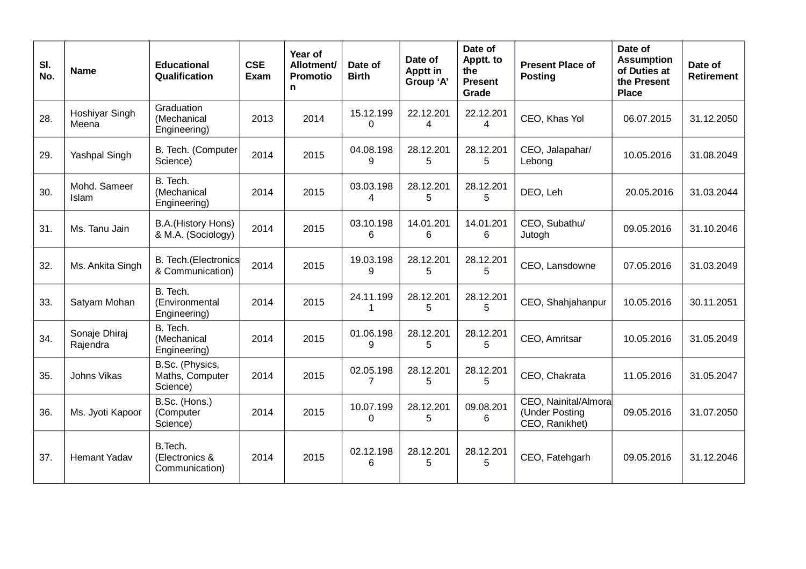| SI.<br>No. | <b>Name</b>               | <b>Educational</b><br>Qualification            | <b>CSE</b><br>Exam | Year of<br>Allotment/<br><b>Promotio</b><br>n | Date of<br><b>Birth</b>   | Date of<br><b>Apptt in</b><br>Group 'A' | Date of<br>Apptt. to<br>the<br><b>Present</b><br>Grade | <b>Present Place of</b><br><b>Posting</b>                | Date of<br><b>Assumption</b><br>of Duties at<br>the Present<br><b>Place</b> | Date of<br><b>Retirement</b> |
|------------|---------------------------|------------------------------------------------|--------------------|-----------------------------------------------|---------------------------|-----------------------------------------|--------------------------------------------------------|----------------------------------------------------------|-----------------------------------------------------------------------------|------------------------------|
| 28.        | Hoshiyar Singh<br>Meena   | Graduation<br>(Mechanical<br>Engineering)      | 2013               | 2014                                          | 15.12.199<br>0            | 22.12.201<br>4                          | 22.12.201<br>4                                         | CEO, Khas Yol                                            | 06.07.2015                                                                  | 31.12.2050                   |
| 29.        | Yashpal Singh             | B. Tech. (Computer<br>Science)                 | 2014               | 2015                                          | 04.08.198<br>9            | 28.12.201<br>5                          | 28.12.201<br>5                                         | CEO, Jalapahar/<br>Lebong                                | 10.05.2016                                                                  | 31.08.2049                   |
| 30.        | Mohd. Sameer<br>Islam     | B. Tech.<br>(Mechanical<br>Engineering)        | 2014               | 2015                                          | 03.03.198<br>4            | 28.12.201<br>5                          | 28.12.201<br>5                                         | DEO, Leh                                                 | 20.05.2016                                                                  | 31.03.2044                   |
| 31.        | Ms. Tanu Jain             | B.A.(History Hons)<br>& M.A. (Sociology)       | 2014               | 2015                                          | 03.10.198<br>6            | 14.01.201<br>6                          | 14.01.201<br>6                                         | CEO, Subathu/<br>Jutogh                                  | 09.05.2016                                                                  | 31.10.2046                   |
| 32.        | Ms. Ankita Singh          | B. Tech. (Electronics<br>& Communication)      | 2014               | 2015                                          | 19.03.198<br>9            | 28.12.201<br>5                          | 28.12.201<br>5                                         | CEO, Lansdowne                                           | 07.05.2016                                                                  | 31.03.2049                   |
| 33.        | Satyam Mohan              | B. Tech.<br>(Environmental<br>Engineering)     | 2014               | 2015                                          | 24.11.199<br>$\mathbf{1}$ | 28.12.201<br>5                          | 28.12.201<br>5                                         | CEO, Shahjahanpur                                        | 10.05.2016                                                                  | 30.11.2051                   |
| 34.        | Sonaje Dhiraj<br>Rajendra | B. Tech.<br>(Mechanical<br>Engineering)        | 2014               | 2015                                          | 01.06.198<br>9            | 28.12.201<br>5                          | 28.12.201<br>5                                         | CEO, Amritsar                                            | 10.05.2016                                                                  | 31.05.2049                   |
| 35.        | Johns Vikas               | B.Sc. (Physics,<br>Maths, Computer<br>Science) | 2014               | 2015                                          | 02.05.198<br>7            | 28.12.201<br>5                          | 28.12.201<br>5                                         | CEO, Chakrata                                            | 11.05.2016                                                                  | 31.05.2047                   |
| 36.        | Ms. Jyoti Kapoor          | B.Sc. (Hons.)<br>(Computer<br>Science)         | 2014               | 2015                                          | 10.07.199<br>0            | 28.12.201<br>5                          | 09.08.201<br>6                                         | CEO, Nainital/Almora<br>(Under Posting<br>CEO, Ranikhet) | 09.05.2016                                                                  | 31.07.2050                   |
| 37.        | <b>Hemant Yadav</b>       | B.Tech.<br>(Electronics &<br>Communication)    | 2014               | 2015                                          | 02.12.198<br>6            | 28.12.201<br>5                          | 28.12.201<br>5                                         | CEO, Fatehgarh                                           | 09.05.2016                                                                  | 31.12.2046                   |